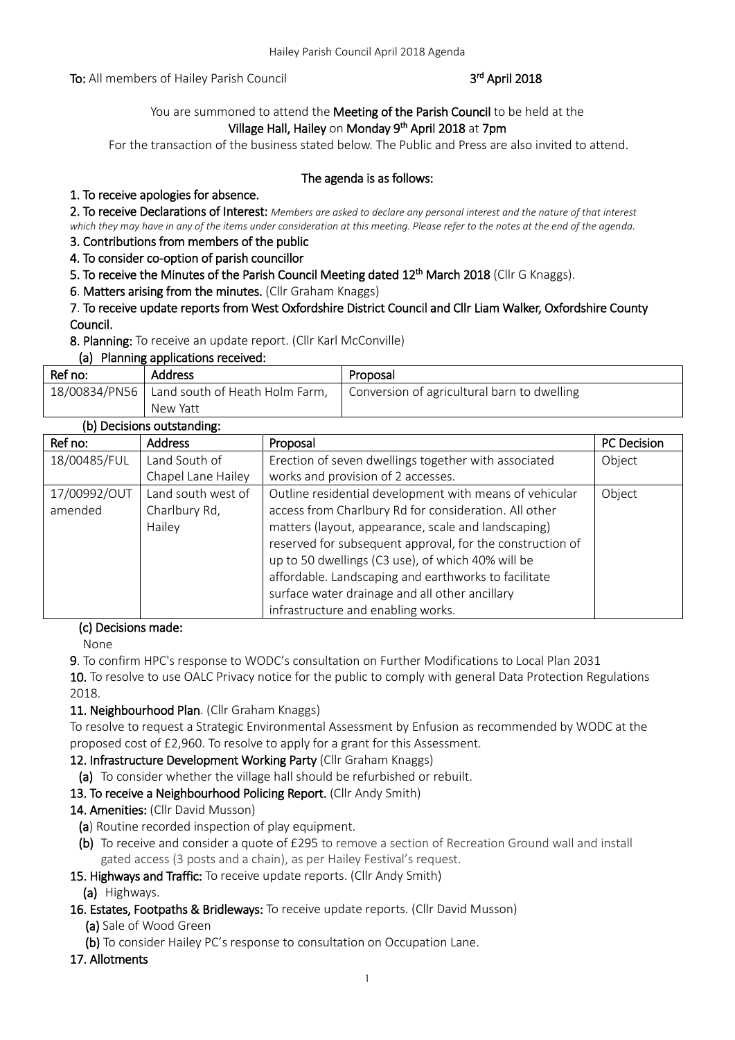To: All members of Hailey Parish Council

## rd April 2018

## You are summoned to attend the Meeting of the Parish Council to be held at the Village Hall, Hailey on Monday 9<sup>th</sup> April 2018 at 7pm

For the transaction of the business stated below. The Public and Press are also invited to attend.

#### The agenda is as follows:

## 1. To receive apologies for absence.

2. To receive Declarations of Interest: *Members are asked to declare any personal interest and the nature of that interest which they may have in any of the items under consideration at this meeting. Please refer to the notes at the end of the agenda.*

3. Contributions from members of the public

4. To consider co-option of parish councillor

5. To receive the Minutes of the Parish Council Meeting dated 12<sup>th</sup> March 2018 (Cllr G Knaggs).

6. Matters arising from the minutes. (Cllr Graham Knaggs)

#### 7. To receive update reports from West Oxfordshire District Council and Cllr Liam Walker, Oxfordshire County Council.

8. Planning: To receive an update report. (Cllr Karl McConville)

#### (a) Planning applications received:

| Ref no: | <b>Address</b>                                 | Proposal                                    |
|---------|------------------------------------------------|---------------------------------------------|
|         | $18/00834/PN56$ Land south of Heath Holm Farm, | Conversion of agricultural barn to dwelling |
|         | New Yatt                                       |                                             |

## (b) Decisions outstanding:

| Ref no:      | <b>Address</b>     | Proposal                                                  | PC Decision |
|--------------|--------------------|-----------------------------------------------------------|-------------|
| 18/00485/FUL | Land South of      | Erection of seven dwellings together with associated      | Object      |
|              | Chapel Lane Hailey | works and provision of 2 accesses.                        |             |
| 17/00992/OUT | Land south west of | Outline residential development with means of vehicular   | Object      |
| amended      | Charlbury Rd,      | access from Charlbury Rd for consideration. All other     |             |
|              | Hailey             | matters (layout, appearance, scale and landscaping)       |             |
|              |                    | reserved for subsequent approval, for the construction of |             |
|              |                    | up to 50 dwellings (C3 use), of which 40% will be         |             |
|              |                    | affordable. Landscaping and earthworks to facilitate      |             |
|              |                    | surface water drainage and all other ancillary            |             |
|              |                    | infrastructure and enabling works.                        |             |

#### (c) Decisions made:

None

9. To confirm HPC's response to WODC's consultation on Further Modifications to Local Plan 2031

10. To resolve to use OALC Privacy notice for the public to comply with general Data Protection Regulations 2018.

#### 11. Neighbourhood Plan. (Cllr Graham Knaggs)

To resolve to request a Strategic Environmental Assessment by Enfusion as recommended by WODC at the proposed cost of £2,960. To resolve to apply for a grant for this Assessment.

#### 12. Infrastructure Development Working Party (Cllr Graham Knaggs)

(a) To consider whether the village hall should be refurbished or rebuilt.

#### 13. To receive a Neighbourhood Policing Report. (Cllr Andy Smith)

- 14. Amenities: (Cllr David Musson)
- (a) Routine recorded inspection of play equipment.
- (b) To receive and consider a quote of £295 to remove a section of Recreation Ground wall and install gated access (3 posts and a chain), as per Hailey Festival's request.

#### 15. Highways and Traffic: To receive update reports. (Cllr Andy Smith)

- (a) Highways.
- 16. Estates, Footpaths & Bridleways: To receive update reports. (Cllr David Musson)
	- (a) Sale of Wood Green
	- (b) To consider Hailey PC's response to consultation on Occupation Lane.
- 17. Allotments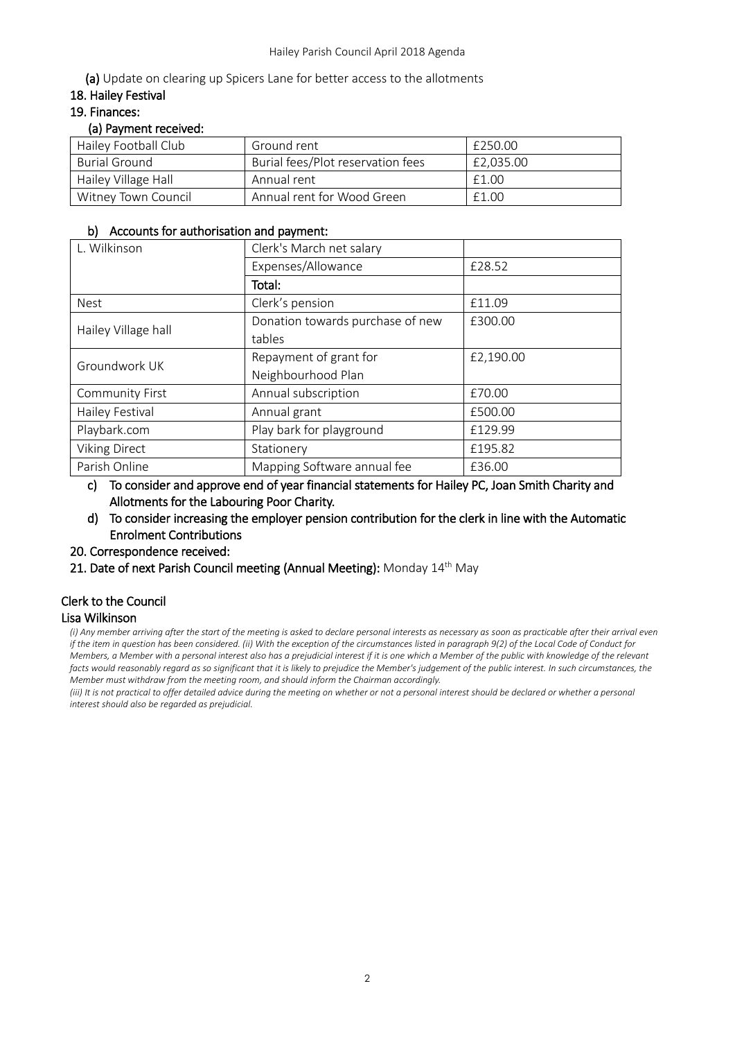(a) Update on clearing up Spicers Lane for better access to the allotments

#### 18. Hailey Festival

#### 19. Finances:

#### (a) Payment received:

| Hailey Football Club | Ground rent                       | £250.00   |
|----------------------|-----------------------------------|-----------|
| Burial Ground        | Burial fees/Plot reservation fees | £2.035.00 |
| Hailey Village Hall  | Annual rent                       | £1.00     |
| Witney Town Council  | Annual rent for Wood Green        | £1.00     |

#### b) Accounts for authorisation and payment:

| L. Wilkinson           | Clerk's March net salary         |           |
|------------------------|----------------------------------|-----------|
|                        | Expenses/Allowance               | £28.52    |
|                        | Total:                           |           |
| <b>Nest</b>            | Clerk's pension                  | £11.09    |
| Hailey Village hall    | Donation towards purchase of new | £300.00   |
|                        | tables                           |           |
| Groundwork UK          | Repayment of grant for           | £2,190.00 |
|                        | Neighbourhood Plan               |           |
| <b>Community First</b> | Annual subscription              | £70.00    |
| Hailey Festival        | Annual grant                     | £500.00   |
| Playbark.com           | Play bark for playground         | £129.99   |
| <b>Viking Direct</b>   | Stationery                       | £195.82   |
| Parish Online          | Mapping Software annual fee      | £36.00    |

c) To consider and approve end of year financial statements for Hailey PC, Joan Smith Charity and Allotments for the Labouring Poor Charity.

d) To consider increasing the employer pension contribution for the clerk in line with the Automatic Enrolment Contributions

20. Correspondence received:

21. Date of next Parish Council meeting (Annual Meeting): Monday 14<sup>th</sup> May

# Clerk to the Council

## Lisa Wilkinson

*(i) Any member arriving after the start of the meeting is asked to declare personal interests as necessary as soon as practicable after their arrival even if the item in question has been considered. (ii) With the exception of the circumstances listed in paragraph 9(2) of the Local Code of Conduct for Members, a Member with a personal interest also has a prejudicial interest if it is one which a Member of the public with knowledge of the relevant facts would reasonably regard as so significant that it is likely to prejudice the Member's judgement of the public interest. In such circumstances, the Member must withdraw from the meeting room, and should inform the Chairman accordingly.*

*(iii)* It is not practical to offer detailed advice during the meeting on whether or not a personal interest should be declared or whether a personal *interest should also be regarded as prejudicial.*